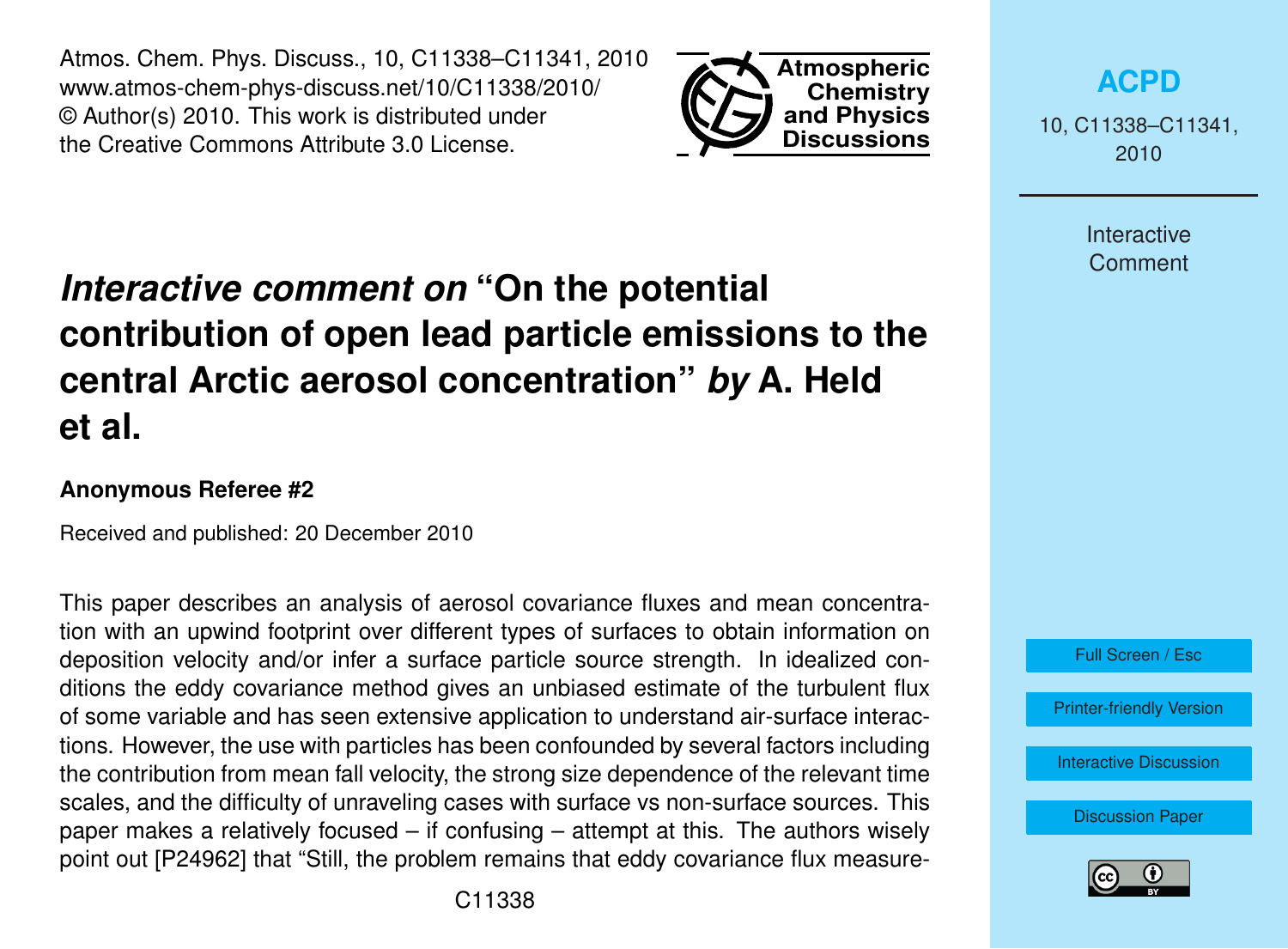Atmos. Chem. Phys. Discuss., 10, C11338–C11341, 2010 www.atmos-chem-phys-discuss.net/10/C11338/2010/ © Author(s) 2010. This work is distributed under the Creative Commons Attribute 3.0 License.



# *Interactive comment on* **"On the potential contribution of open lead particle emissions to the central Arctic aerosol concentration"** *by* **A. Held et al.**

#### **Anonymous Referee #2**

Received and published: 20 December 2010

This paper describes an analysis of aerosol covariance fluxes and mean concentration with an upwind footprint over different types of surfaces to obtain information on deposition velocity and/or infer a surface particle source strength. In idealized conditions the eddy covariance method gives an unbiased estimate of the turbulent flux of some variable and has seen extensive application to understand air-surface interactions. However, the use with particles has been confounded by several factors including the contribution from mean fall velocity, the strong size dependence of the relevant time scales, and the difficulty of unraveling cases with surface vs non-surface sources. This paper makes a relatively focused – if confusing – attempt at this. The authors wisely point out [P24962] that "Still, the problem remains that eddy covariance flux measure10, C11338–C11341, 2010

> Interactive **Comment**



[Printer-friendly Version](http://www.atmos-chem-phys-discuss.net/10/C11338/2010/acpd-10-C11338-2010-print.pdf)

[Interactive Discussion](http://www.atmos-chem-phys-discuss.net/10/24961/2010/acpd-10-24961-2010-discussion.html)

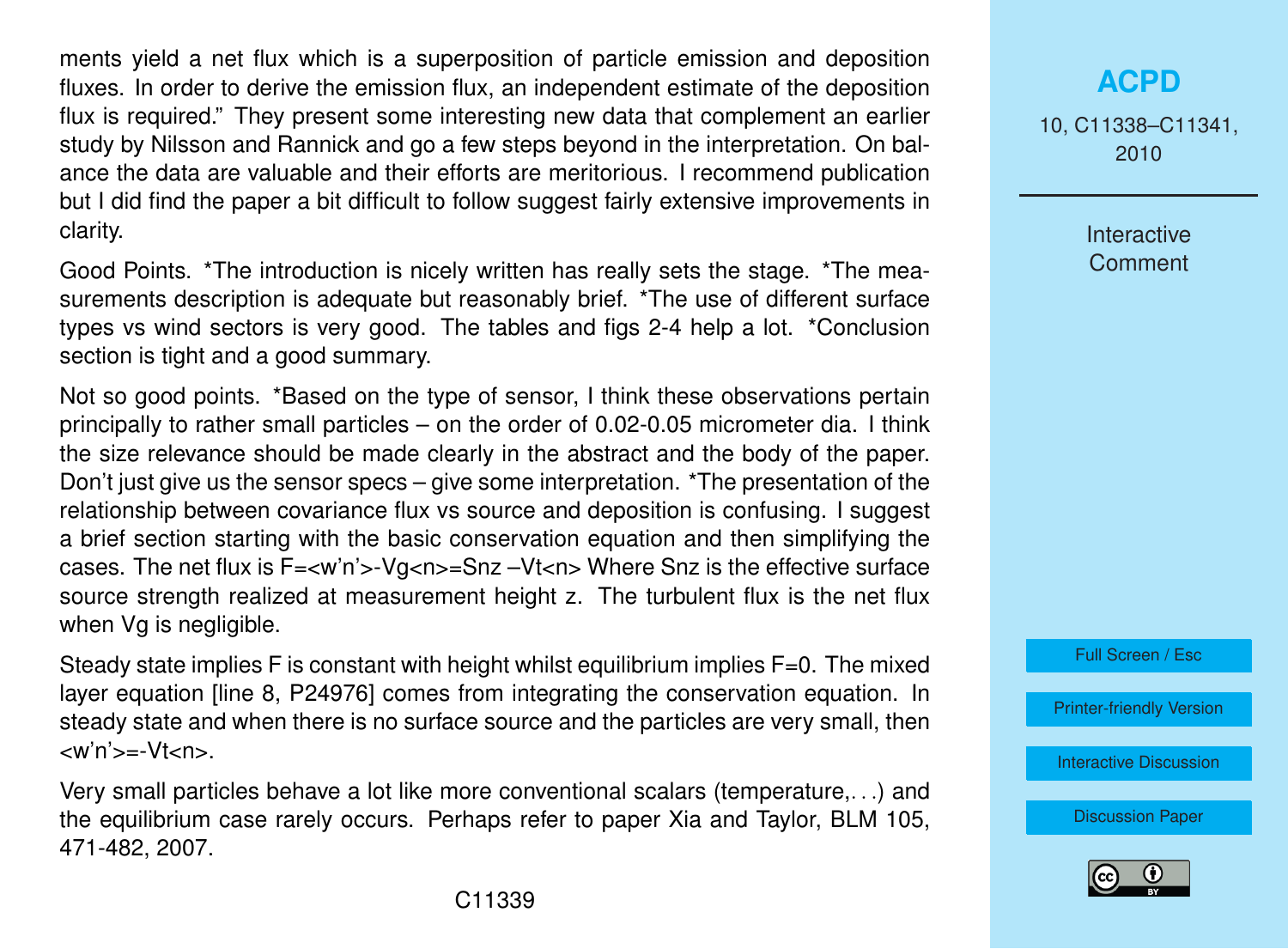ments yield a net flux which is a superposition of particle emission and deposition fluxes. In order to derive the emission flux, an independent estimate of the deposition flux is required." They present some interesting new data that complement an earlier study by Nilsson and Rannick and go a few steps beyond in the interpretation. On balance the data are valuable and their efforts are meritorious. I recommend publication but I did find the paper a bit difficult to follow suggest fairly extensive improvements in clarity.

Good Points. \*The introduction is nicely written has really sets the stage. \*The measurements description is adequate but reasonably brief. \*The use of different surface types vs wind sectors is very good. The tables and figs 2-4 help a lot. \*Conclusion section is tight and a good summary.

Not so good points. \*Based on the type of sensor, I think these observations pertain principally to rather small particles – on the order of 0.02-0.05 micrometer dia. I think the size relevance should be made clearly in the abstract and the body of the paper. Don't just give us the sensor specs – give some interpretation. \*The presentation of the relationship between covariance flux vs source and deposition is confusing. I suggest a brief section starting with the basic conservation equation and then simplifying the cases. The net flux is F=<w'n'>-Vg<n>=Snz –Vt<n> Where Snz is the effective surface source strength realized at measurement height z. The turbulent flux is the net flux when Vg is negligible.

Steady state implies F is constant with height whilst equilibrium implies F=0. The mixed layer equation [line 8, P24976] comes from integrating the conservation equation. In steady state and when there is no surface source and the particles are very small, then  $\langle w' \rangle = Vt \langle n \rangle$ .

Very small particles behave a lot like more conventional scalars (temperature,. . .) and the equilibrium case rarely occurs. Perhaps refer to paper Xia and Taylor, BLM 105, 471-482, 2007.

### **[ACPD](http://www.atmos-chem-phys-discuss.net)**

10, C11338–C11341, 2010

> Interactive **Comment**



[Printer-friendly Version](http://www.atmos-chem-phys-discuss.net/10/C11338/2010/acpd-10-C11338-2010-print.pdf)

[Interactive Discussion](http://www.atmos-chem-phys-discuss.net/10/24961/2010/acpd-10-24961-2010-discussion.html)

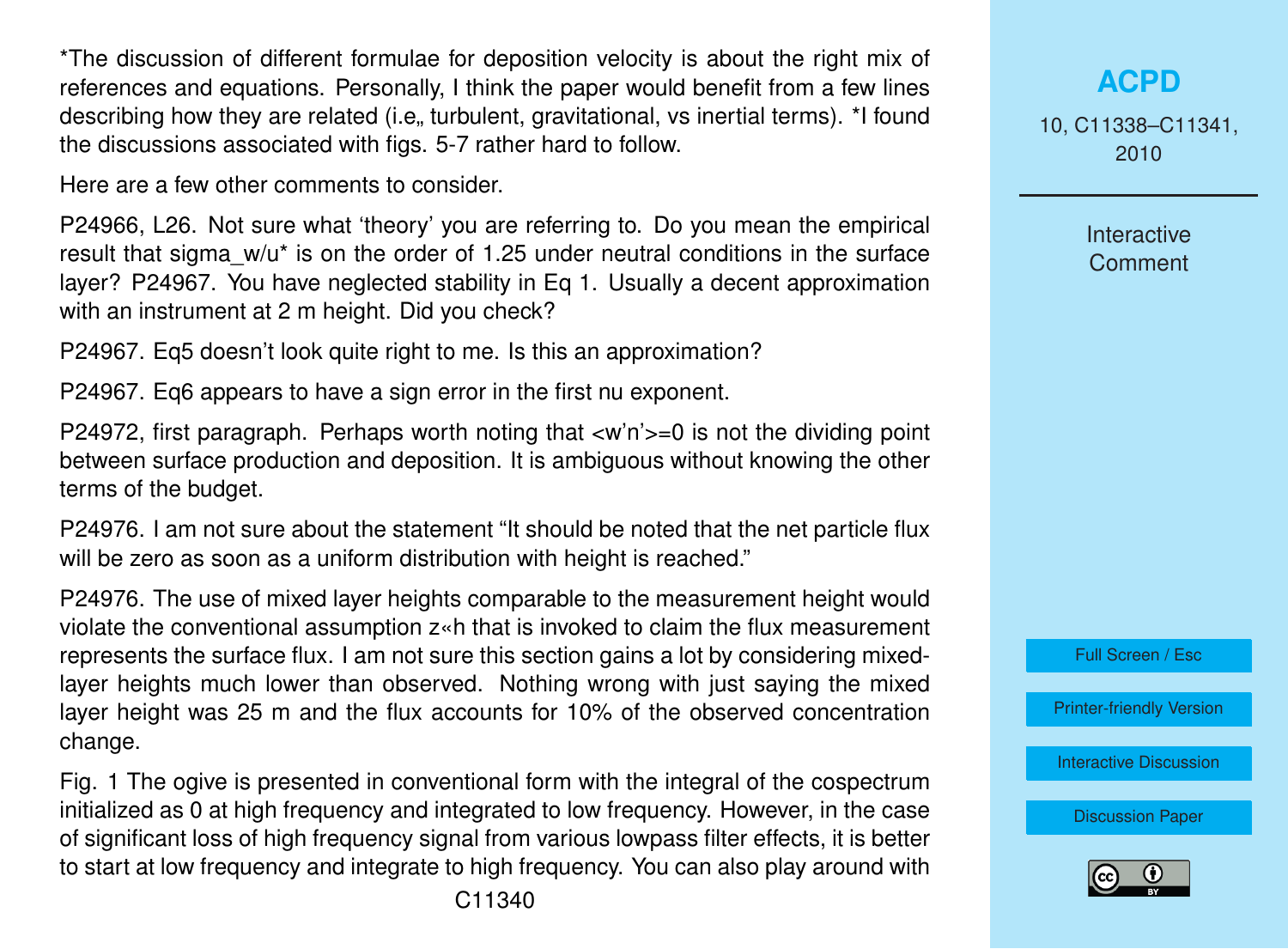\*The discussion of different formulae for deposition velocity is about the right mix of references and equations. Personally, I think the paper would benefit from a few lines describing how they are related (i.e., turbulent, gravitational, vs inertial terms). \*I found the discussions associated with figs. 5-7 rather hard to follow.

Here are a few other comments to consider.

P24966, L26. Not sure what 'theory' you are referring to. Do you mean the empirical result that sigma  $w/u^*$  is on the order of 1.25 under neutral conditions in the surface layer? P24967. You have neglected stability in Eq 1. Usually a decent approximation with an instrument at 2 m height. Did you check?

P24967. Eq5 doesn't look quite right to me. Is this an approximation?

P24967. Eq6 appears to have a sign error in the first nu exponent.

P24972, first paragraph. Perhaps worth noting that  $\langle w \rangle$ n'>=0 is not the dividing point between surface production and deposition. It is ambiguous without knowing the other terms of the budget.

P24976. I am not sure about the statement "It should be noted that the net particle flux will be zero as soon as a uniform distribution with height is reached."

P24976. The use of mixed layer heights comparable to the measurement height would violate the conventional assumption z«h that is invoked to claim the flux measurement represents the surface flux. I am not sure this section gains a lot by considering mixedlayer heights much lower than observed. Nothing wrong with just saying the mixed layer height was 25 m and the flux accounts for 10% of the observed concentration change.

Fig. 1 The ogive is presented in conventional form with the integral of the cospectrum initialized as 0 at high frequency and integrated to low frequency. However, in the case of significant loss of high frequency signal from various lowpass filter effects, it is better to start at low frequency and integrate to high frequency. You can also play around with

## **[ACPD](http://www.atmos-chem-phys-discuss.net)**

10, C11338–C11341, 2010

> Interactive **Comment**



[Printer-friendly Version](http://www.atmos-chem-phys-discuss.net/10/C11338/2010/acpd-10-C11338-2010-print.pdf)

[Interactive Discussion](http://www.atmos-chem-phys-discuss.net/10/24961/2010/acpd-10-24961-2010-discussion.html)